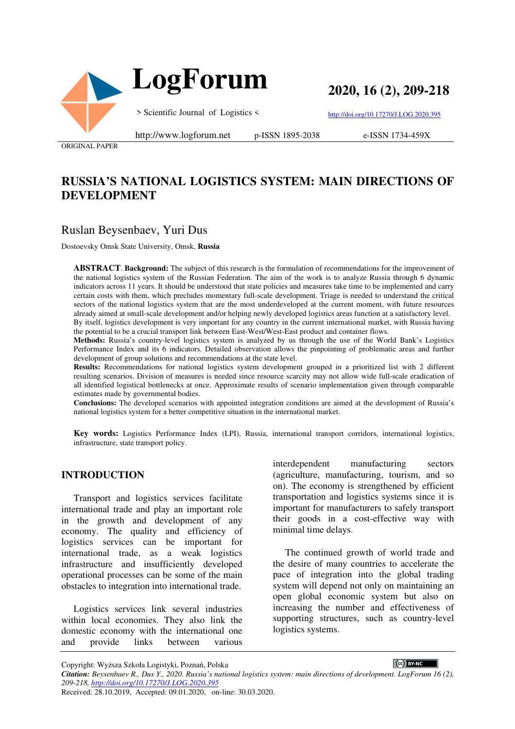



**2020, 16 (2), 209-218**

> Scientific Journal of Logistics <

http://doi.org/10.17270/J.LOG.2020.395

ORIGINAL PAPER

#### http://www.logforum.net p-ISSN 1895-2038

e-ISSN 1734-459X

# **RUSSIA'S NATIONAL LOGISTICS SYSTEM: MAIN DIRECTIONS OF DEVELOPMENT**

### Ruslan Beysenbaev, Yuri Dus

Dostoevsky Omsk State University, Omsk, **Russia**

**ABSTRACT**. **Background:** The subject of this research is the formulation of recommendations for the improvement of the national logistics system of the Russian Federation. The aim of the work is to analyze Russia through 6 dynamic indicators across 11 years. It should be understood that state policies and measures take time to be implemented and carry certain costs with them, which precludes momentary full-scale development. Triage is needed to understand the critical sectors of the national logistics system that are the most underdeveloped at the current moment, with future resources already aimed at small-scale development and/or helping newly developed logistics areas function at a satisfactory level.

By itself, logistics development is very important for any country in the current international market, with Russia having the potential to be a crucial transport link between East-West/West-East product and container flows.

**Methods:** Russia's country-level logistics system is analyzed by us through the use of the World Bank's Logistics Performance Index and its 6 indicators. Detailed observation allows the pinpointing of problematic areas and further development of group solutions and recommendations at the state level.

**Results:** Recommendations for national logistics system development grouped in a prioritized list with 2 different resulting scenarios. Division of measures is needed since resource scarcity may not allow wide full-scale eradication of all identified logistical bottlenecks at once. Approximate results of scenario implementation given through comparable estimates made by governmental bodies.

**Conclusions:** The developed scenarios with appointed integration conditions are aimed at the development of Russia's national logistics system for a better competitive situation in the international market.

**Key words:** Logistics Performance Index (LPI), Russia, international transport corridors, international logistics, infrastructure, state transport policy.

#### **INTRODUCTION**

Transport and logistics services facilitate international trade and play an important role in the growth and development of any economy. The quality and efficiency of logistics services can be important for international trade, as a weak logistics infrastructure and insufficiently developed operational processes can be some of the main obstacles to integration into international trade.

Logistics services link several industries within local economies. They also link the domestic economy with the international one and provide links between various

interdependent manufacturing sectors (agriculture, manufacturing, tourism, and so on). The economy is strengthened by efficient transportation and logistics systems since it is important for manufacturers to safely transport their goods in a cost-effective way with minimal time delays.

The continued growth of world trade and the desire of many countries to accelerate the pace of integration into the global trading system will depend not only on maintaining an open global economic system but also on increasing the number and effectiveness of supporting structures, such as country-level logistics systems.

CC BY-NC

Copyright: Wyższa Szkoła Logistyki, Poznań, Polska

*Citation: Beysenbaev R., Dus Y., 2020. Russia's national logistics system: main directions of development. LogForum 16 (2), 209-218, http://doi.org/10.17270/J.LOG.2020.395* 

Received: 28.10.2019, Accepted: 09.01.2020, on-line: 30.03.2020.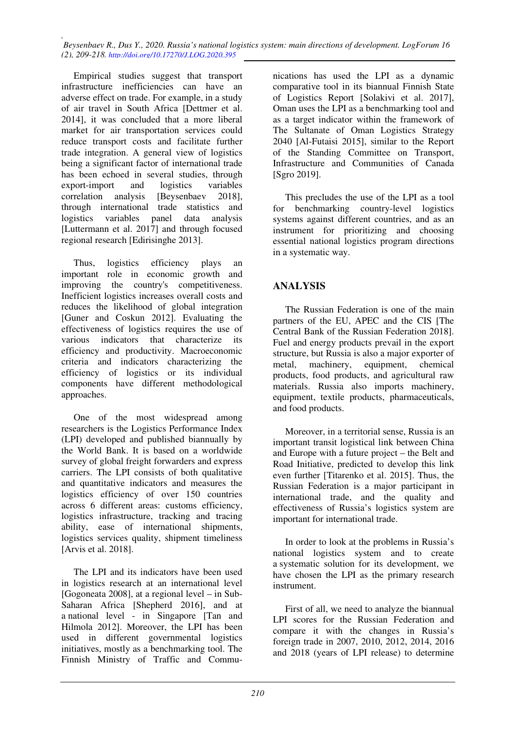*, Beysenbaev R., Dus Y., 2020. Russia's national logistics system: main directions of development. LogForum 16 (2), 209-218. http://doi.org/10.17270/J.LOG.2020.395* 

Empirical studies suggest that transport infrastructure inefficiencies can have an adverse effect on trade. For example, in a study of air travel in South Africa [Dettmer et al. 2014], it was concluded that a more liberal market for air transportation services could reduce transport costs and facilitate further trade integration. A general view of logistics being a significant factor of international trade has been echoed in several studies, through export-import and logistics variables correlation analysis [Beysenbaev 2018], through international trade statistics and logistics variables panel data analysis [Luttermann et al. 2017] and through focused regional research [Edirisinghe 2013].

Thus, logistics efficiency plays an important role in economic growth and improving the country's competitiveness. Inefficient logistics increases overall costs and reduces the likelihood of global integration [Guner and Coskun 2012]. Evaluating the effectiveness of logistics requires the use of various indicators that characterize its efficiency and productivity. Macroeconomic criteria and indicators characterizing the efficiency of logistics or its individual components have different methodological approaches.

One of the most widespread among researchers is the Logistics Performance Index (LPI) developed and published biannually by the World Bank. It is based on a worldwide survey of global freight forwarders and express carriers. The LPI consists of both qualitative and quantitative indicators and measures the logistics efficiency of over 150 countries across 6 different areas: customs efficiency, logistics infrastructure, tracking and tracing ability, ease of international shipments, logistics services quality, shipment timeliness [Arvis et al. 2018].

The LPI and its indicators have been used in logistics research at an international level [Gogoneata 2008], at a regional level – in Sub-Saharan Africa [Shepherd 2016], and at a national level - in Singapore [Tan and Hilmola 2012]. Moreover, the LPI has been used in different governmental logistics initiatives, mostly as a benchmarking tool. The Finnish Ministry of Traffic and Commu-

nications has used the LPI as a dynamic comparative tool in its biannual Finnish State of Logistics Report [Solakivi et al. 2017], Oman uses the LPI as a benchmarking tool and as a target indicator within the framework of The Sultanate of Oman Logistics Strategy 2040 [Al-Futaisi 2015], similar to the Report of the Standing Committee on Transport, Infrastructure and Communities of Canada [Sgro 2019].

This precludes the use of the LPI as a tool for benchmarking country-level logistics systems against different countries, and as an instrument for prioritizing and choosing essential national logistics program directions in a systematic way.

## **ANALYSIS**

The Russian Federation is one of the main partners of the EU, APEC and the CIS [The Central Bank of the Russian Federation 2018]. Fuel and energy products prevail in the export structure, but Russia is also a major exporter of metal, machinery, equipment, chemical products, food products, and agricultural raw materials. Russia also imports machinery, equipment, textile products, pharmaceuticals, and food products.

Moreover, in a territorial sense, Russia is an important transit logistical link between China and Europe with a future project – the Belt and Road Initiative, predicted to develop this link even further [Titarenko et al. 2015]. Thus, the Russian Federation is a major participant in international trade, and the quality and effectiveness of Russia's logistics system are important for international trade.

In order to look at the problems in Russia's national logistics system and to create a systematic solution for its development, we have chosen the LPI as the primary research instrument.

First of all, we need to analyze the biannual LPI scores for the Russian Federation and compare it with the changes in Russia's foreign trade in 2007, 2010, 2012, 2014, 2016 and 2018 (years of LPI release) to determine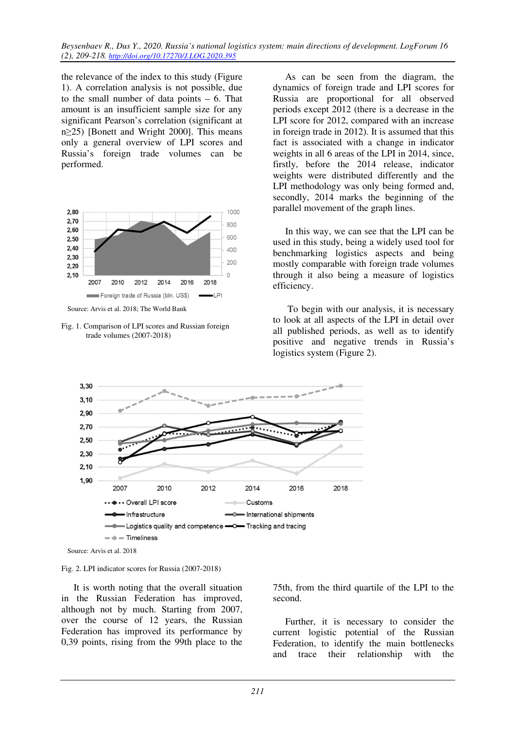the relevance of the index to this study (Figure 1). A correlation analysis is not possible, due to the small number of data points – 6. That amount is an insufficient sample size for any significant Pearson's correlation (significant at n≥25) [Bonett and Wright 2000]. This means only a general overview of LPI scores and Russia's foreign trade volumes can be performed.



Source: Arvis et al. 2018; The World Bank

Fig. 1. Comparison of LPI scores and Russian foreign trade volumes (2007-2018)

As can be seen from the diagram, the dynamics of foreign trade and LPI scores for Russia are proportional for all observed periods except 2012 (there is a decrease in the LPI score for 2012, compared with an increase in foreign trade in 2012). It is assumed that this fact is associated with a change in indicator weights in all 6 areas of the LPI in 2014, since, firstly, before the 2014 release, indicator weights were distributed differently and the LPI methodology was only being formed and, secondly, 2014 marks the beginning of the parallel movement of the graph lines.

In this way, we can see that the LPI can be used in this study, being a widely used tool for benchmarking logistics aspects and being mostly comparable with foreign trade volumes through it also being a measure of logistics efficiency.

 To begin with our analysis, it is necessary to look at all aspects of the LPI in detail over all published periods, as well as to identify positive and negative trends in Russia's logistics system (Figure 2).



Source: Arvis et al. 2018

#### Fig. 2. LPI indicator scores for Russia (2007-2018)

It is worth noting that the overall situation in the Russian Federation has improved, although not by much. Starting from 2007, over the course of 12 years, the Russian Federation has improved its performance by 0,39 points, rising from the 99th place to the 75th, from the third quartile of the LPI to the second.

Further, it is necessary to consider the current logistic potential of the Russian Federation, to identify the main bottlenecks and trace their relationship with the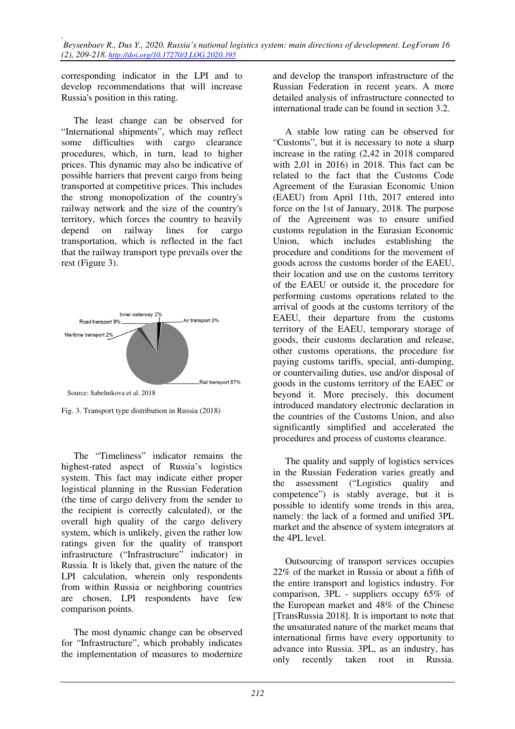corresponding indicator in the LPI and to develop recommendations that will increase Russia's position in this rating.

The least change can be observed for "International shipments", which may reflect some difficulties with cargo clearance procedures, which, in turn, lead to higher prices. This dynamic may also be indicative of possible barriers that prevent cargo from being transported at competitive prices. This includes the strong monopolization of the country's railway network and the size of the country's territory, which forces the country to heavily depend on railway lines for cargo transportation, which is reflected in the fact that the railway transport type prevails over the rest (Figure 3).



Fig. 3. Transport type distribution in Russia (2018)

The "Timeliness" indicator remains the highest-rated aspect of Russia's logistics system. This fact may indicate either proper logistical planning in the Russian Federation (the time of cargo delivery from the sender to the recipient is correctly calculated), or the overall high quality of the cargo delivery system, which is unlikely, given the rather low ratings given for the quality of transport infrastructure ("Infrastructure" indicator) in Russia. It is likely that, given the nature of the LPI calculation, wherein only respondents from within Russia or neighboring countries are chosen, LPI respondents have few comparison points.

The most dynamic change can be observed for "Infrastructure", which probably indicates the implementation of measures to modernize

and develop the transport infrastructure of the Russian Federation in recent years. A more detailed analysis of infrastructure connected to international trade can be found in section 3.2.

A stable low rating can be observed for "Customs", but it is necessary to note a sharp increase in the rating (2,42 in 2018 compared with 2,01 in 2016) in 2018. This fact can be related to the fact that the Customs Code Agreement of the Eurasian Economic Union (EAEU) from April 11th, 2017 entered into force on the 1st of January, 2018. The purpose of the Agreement was to ensure unified customs regulation in the Eurasian Economic Union, which includes establishing the procedure and conditions for the movement of goods across the customs border of the EAEU, their location and use on the customs territory of the EAEU or outside it, the procedure for performing customs operations related to the arrival of goods at the customs territory of the EAEU, their departure from the customs territory of the EAEU, temporary storage of goods, their customs declaration and release, other customs operations, the procedure for paying customs tariffs, special, anti-dumping, or countervailing duties, use and/or disposal of goods in the customs territory of the EAEC or beyond it. More precisely, this document introduced mandatory electronic declaration in the countries of the Customs Union, and also significantly simplified and accelerated the procedures and process of customs clearance.

The quality and supply of logistics services in the Russian Federation varies greatly and the assessment ("Logistics quality and competence") is stably average, but it is possible to identify some trends in this area, namely: the lack of a formed and unified 3PL market and the absence of system integrators at the 4PL level.

Outsourcing of transport services occupies 22% of the market in Russia or about a fifth of the entire transport and logistics industry. For comparison, 3PL - suppliers occupy 65% of the European market and 48% of the Chinese [TransRussia 2018]. It is important to note that the unsaturated nature of the market means that international firms have every opportunity to advance into Russia. 3PL, as an industry, has only recently taken root in Russia.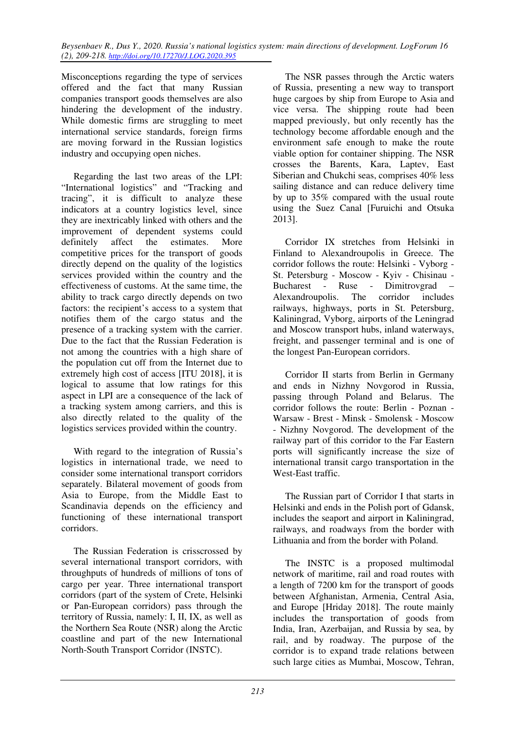Misconceptions regarding the type of services offered and the fact that many Russian companies transport goods themselves are also hindering the development of the industry. While domestic firms are struggling to meet international service standards, foreign firms are moving forward in the Russian logistics industry and occupying open niches.

Regarding the last two areas of the LPI: "International logistics" and "Tracking and tracing", it is difficult to analyze these indicators at a country logistics level, since they are inextricably linked with others and the improvement of dependent systems could definitely affect the estimates. More competitive prices for the transport of goods directly depend on the quality of the logistics services provided within the country and the effectiveness of customs. At the same time, the ability to track cargo directly depends on two factors: the recipient's access to a system that notifies them of the cargo status and the presence of a tracking system with the carrier. Due to the fact that the Russian Federation is not among the countries with a high share of the population cut off from the Internet due to extremely high cost of access [ITU 2018], it is logical to assume that low ratings for this aspect in LPI are a consequence of the lack of a tracking system among carriers, and this is also directly related to the quality of the logistics services provided within the country.

With regard to the integration of Russia's logistics in international trade, we need to consider some international transport corridors separately. Bilateral movement of goods from Asia to Europe, from the Middle East to Scandinavia depends on the efficiency and functioning of these international transport corridors.

The Russian Federation is crisscrossed by several international transport corridors, with throughputs of hundreds of millions of tons of cargo per year. Three international transport corridors (part of the system of Crete, Helsinki or Pan-European corridors) pass through the territory of Russia, namely: I, II, IX, as well as the Northern Sea Route (NSR) along the Arctic coastline and part of the new International North-South Transport Corridor (INSTC).

The NSR passes through the Arctic waters of Russia, presenting a new way to transport huge cargoes by ship from Europe to Asia and vice versa. The shipping route had been mapped previously, but only recently has the technology become affordable enough and the environment safe enough to make the route viable option for container shipping. The NSR crosses the Barents, Kara, Laptev, East Siberian and Chukchi seas, comprises 40% less sailing distance and can reduce delivery time by up to 35% compared with the usual route using the Suez Canal [Furuichi and Otsuka 2013].

Corridor IX stretches from Helsinki in Finland to Alexandroupolis in Greece. The corridor follows the route: Helsinki - Vyborg - St. Petersburg - Moscow - Kyiv - Chisinau - Bucharest - Ruse - Dimitrovgrad – Alexandroupolis. The corridor includes railways, highways, ports in St. Petersburg, Kaliningrad, Vyborg, airports of the Leningrad and Moscow transport hubs, inland waterways, freight, and passenger terminal and is one of the longest Pan-European corridors.

Corridor II starts from Berlin in Germany and ends in Nizhny Novgorod in Russia, passing through Poland and Belarus. The corridor follows the route: Berlin - Poznan - Warsaw - Brest - Minsk - Smolensk - Moscow - Nizhny Novgorod. The development of the railway part of this corridor to the Far Eastern ports will significantly increase the size of international transit cargo transportation in the West-East traffic.

The Russian part of Corridor I that starts in Helsinki and ends in the Polish port of Gdansk, includes the seaport and airport in Kaliningrad, railways, and roadways from the border with Lithuania and from the border with Poland.

The INSTC is a proposed multimodal network of maritime, rail and road routes with a length of 7200 km for the transport of goods between Afghanistan, Armenia, Central Asia, and Europe [Hriday 2018]. The route mainly includes the transportation of goods from India, Iran, Azerbaijan, and Russia by sea, by rail, and by roadway. The purpose of the corridor is to expand trade relations between such large cities as Mumbai, Moscow, Tehran,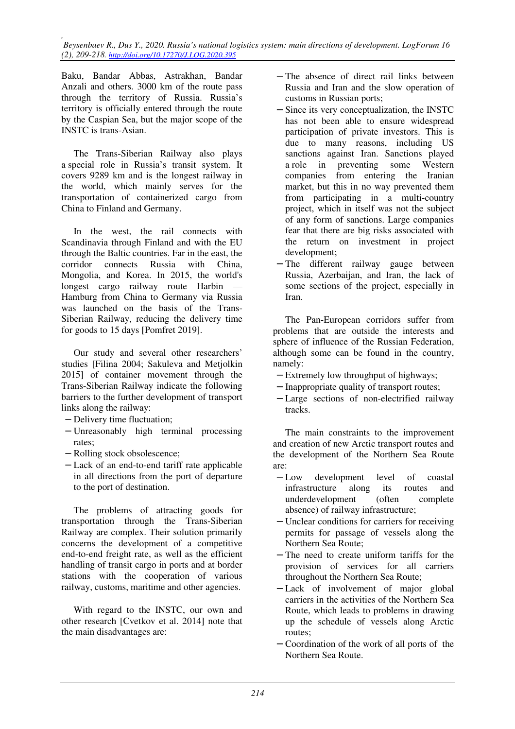Baku, Bandar Abbas, Astrakhan, Bandar Anzali and others. 3000 km of the route pass through the territory of Russia. Russia's territory is officially entered through the route by the Caspian Sea, but the major scope of the INSTC is trans-Asian.

The Trans-Siberian Railway also plays a special role in Russia's transit system. It covers 9289 km and is the longest railway in the world, which mainly serves for the transportation of containerized cargo from China to Finland and Germany.

In the west, the rail connects with Scandinavia through Finland and with the EU through the Baltic countries. Far in the east, the corridor connects Russia with China, Mongolia, and Korea. In 2015, the world's longest cargo railway route Harbin — Hamburg from China to Germany via Russia was launched on the basis of the Trans-Siberian Railway, reducing the delivery time for goods to 15 days [Pomfret 2019].

Our study and several other researchers' studies [Filina 2004; Sakuleva and Metjolkin 2015] of container movement through the Trans-Siberian Railway indicate the following barriers to the further development of transport links along the railway:

- − Delivery time fluctuation;
- − Unreasonably high terminal processing rates;
- − Rolling stock obsolescence;
- − Lack of an end-to-end tariff rate applicable in all directions from the port of departure to the port of destination.

The problems of attracting goods for transportation through the Trans-Siberian Railway are complex. Their solution primarily concerns the development of a competitive end-to-end freight rate, as well as the efficient handling of transit cargo in ports and at border stations with the cooperation of various railway, customs, maritime and other agencies.

With regard to the INSTC, our own and other research [Cvetkov et al. 2014] note that the main disadvantages are:

- − The absence of direct rail links between Russia and Iran and the slow operation of customs in Russian ports;
- − Since its very conceptualization, the INSTC has not been able to ensure widespread participation of private investors. This is due to many reasons, including US sanctions against Iran. Sanctions played a role in preventing some Western companies from entering the Iranian market, but this in no way prevented them from participating in a multi-country project, which in itself was not the subject of any form of sanctions. Large companies fear that there are big risks associated with the return on investment in project development;
- − The different railway gauge between Russia, Azerbaijan, and Iran, the lack of some sections of the project, especially in Iran.

The Pan-European corridors suffer from problems that are outside the interests and sphere of influence of the Russian Federation, although some can be found in the country, namely:

- − Extremely low throughput of highways;
- − Inappropriate quality of transport routes;
- − Large sections of non-electrified railway tracks.

The main constraints to the improvement and creation of new Arctic transport routes and the development of the Northern Sea Route are:

- − Low development level of coastal infrastructure along its routes and underdevelopment (often complete absence) of railway infrastructure;
- − Unclear conditions for carriers for receiving permits for passage of vessels along the Northern Sea Route;
- − The need to create uniform tariffs for the provision of services for all carriers throughout the Northern Sea Route;
- − Lack of involvement of major global carriers in the activities of the Northern Sea Route, which leads to problems in drawing up the schedule of vessels along Arctic routes;
- − Coordination of the work of all ports of the Northern Sea Route.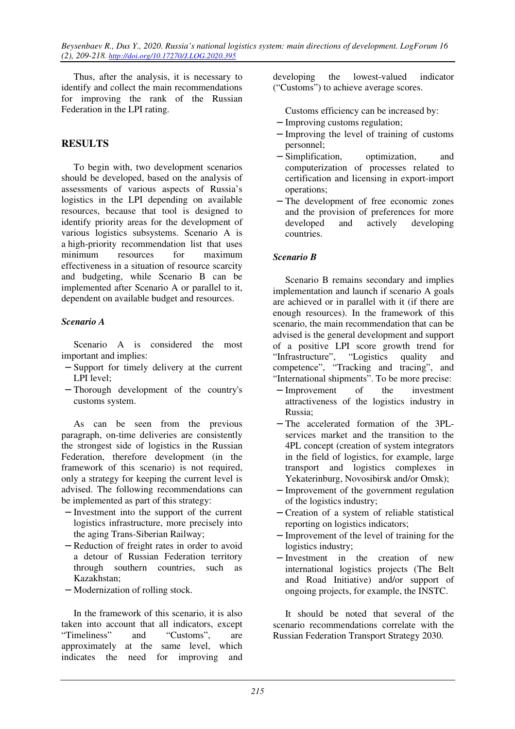*Beysenbaev R., Dus Y., 2020. Russia's national logistics system: main directions of development. LogForum 16 (2), 209-218. http://doi.org/10.17270/J.LOG.2020.395* 

Thus, after the analysis, it is necessary to identify and collect the main recommendations for improving the rank of the Russian Federation in the LPI rating.

## **RESULTS**

To begin with, two development scenarios should be developed, based on the analysis of assessments of various aspects of Russia's logistics in the LPI depending on available resources, because that tool is designed to identify priority areas for the development of various logistics subsystems. Scenario A is a high-priority recommendation list that uses minimum resources for maximum effectiveness in a situation of resource scarcity and budgeting, while Scenario B can be implemented after Scenario A or parallel to it, dependent on available budget and resources.

#### *Scenario A*

Scenario A is considered the most important and implies:

- − Support for timely delivery at the current LPI level;
- − Thorough development of the country's customs system.

As can be seen from the previous paragraph, on-time deliveries are consistently the strongest side of logistics in the Russian Federation, therefore development (in the framework of this scenario) is not required, only a strategy for keeping the current level is advised. The following recommendations can be implemented as part of this strategy:

- − Investment into the support of the current logistics infrastructure, more precisely into the aging Trans-Siberian Railway;
- − Reduction of freight rates in order to avoid a detour of Russian Federation territory through southern countries, such as Kazakhstan;
- − Modernization of rolling stock.

In the framework of this scenario, it is also taken into account that all indicators, except "Timeliness" and "Customs", are approximately at the same level, which indicates the need for improving and developing the lowest-valued indicator ("Customs") to achieve average scores.

Customs efficiency can be increased by:

- − Improving customs regulation;
- − Improving the level of training of customs personnel;
- − Simplification, optimization, and computerization of processes related to certification and licensing in export-import operations;
- − The development of free economic zones and the provision of preferences for more developed and actively developing countries.

#### *Scenario B*

Scenario B remains secondary and implies implementation and launch if scenario A goals are achieved or in parallel with it (if there are enough resources). In the framework of this scenario, the main recommendation that can be advised is the general development and support of a positive LPI score growth trend for "Infrastructure", "Logistics quality and "Infrastructure", "Logistics quality and competence", "Tracking and tracing", and "International shipments". To be more precise:

- − Improvement of the investment attractiveness of the logistics industry in Russia;
- − The accelerated formation of the 3PLservices market and the transition to the 4PL concept (creation of system integrators in the field of logistics, for example, large transport and logistics complexes in Yekaterinburg, Novosibirsk and/or Omsk);
- − Improvement of the government regulation of the logistics industry;
- − Creation of a system of reliable statistical reporting on logistics indicators;
- − Improvement of the level of training for the logistics industry;
- − Investment in the creation of new international logistics projects (The Belt and Road Initiative) and/or support of ongoing projects, for example, the INSTC.

It should be noted that several of the scenario recommendations correlate with the Russian Federation Transport Strategy 2030.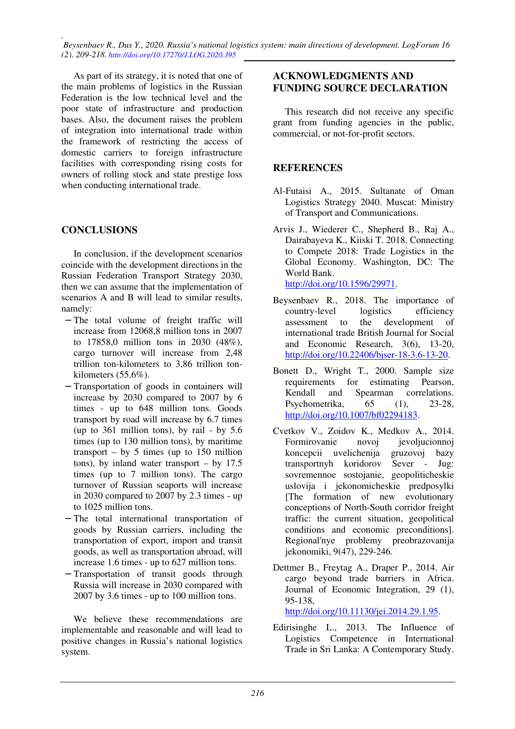*, Beysenbaev R., Dus Y., 2020. Russia's national logistics system: main directions of development. LogForum 16 (2), 209-218. http://doi.org/10.17270/J.LOG.2020.395* 

As part of its strategy, it is noted that one of the main problems of logistics in the Russian Federation is the low technical level and the poor state of infrastructure and production bases. Also, the document raises the problem of integration into international trade within the framework of restricting the access of domestic carriers to foreign infrastructure facilities with corresponding rising costs for owners of rolling stock and state prestige loss when conducting international trade.

#### **CONCLUSIONS**

In conclusion, if the development scenarios coincide with the development directions in the Russian Federation Transport Strategy 2030, then we can assume that the implementation of scenarios A and B will lead to similar results, namely:

- − The total volume of freight traffic will increase from 12068,8 million tons in 2007 to 17858,0 million tons in 2030 (48%), cargo turnover will increase from 2,48 trillion ton-kilometers to 3,86 trillion tonkilometers (55.6%).
- Transportation of goods in containers will increase by 2030 compared to 2007 by 6 times - up to 648 million tons. Goods transport by road will increase by 6.7 times (up to 361 million tons), by rail - by 5.6 times (up to 130 million tons), by maritime transport – by 5 times (up to  $150$  million tons), by inland water transport – by  $17.5$ times (up to 7 million tons). The cargo turnover of Russian seaports will increase in 2030 compared to 2007 by 2.3 times - up to 1025 million tons.
- − The total international transportation of goods by Russian carriers, including the transportation of export, import and transit goods, as well as transportation abroad, will increase 1.6 times - up to 627 million tons.
- − Transportation of transit goods through Russia will increase in 2030 compared with 2007 by 3.6 times - up to 100 million tons.

We believe these recommendations are implementable and reasonable and will lead to positive changes in Russia's national logistics system.

#### **ACKNOWLEDGMENTS AND FUNDING SOURCE DECLARATION**

This research did not receive any specific grant from funding agencies in the public, commercial, or not-for-profit sectors.

#### **REFERENCES**

- Al-Futaisi A., 2015. Sultanate of Oman Logistics Strategy 2040. Muscat: Ministry of Transport and Communications.
- Arvis J., Wiederer C., Shepherd B., Raj A., Dairabayeva K., Kiiski T. 2018. Connecting to Compete 2018: Trade Logistics in the Global Economy. Washington, DC: The World Bank. http://doi.org/10.1596/29971.
- Beysenbaev R., 2018. The importance of country-level logistics efficiency assessment to the development of international trade British Journal for Social and Economic Research, 3(6), 13-20, http://doi.org/10.22406/bjser-18-3.6-13-20.
- Bonett D., Wright T., 2000. Sample size requirements for estimating Pearson, Kendall and Spearman correlations. Psychometrika, 65 (1), 23-28, http://doi.org/10.1007/bf02294183.
- Cvetkov V., Zoidov K., Medkov A., 2014. Formirovanie novoj jevoljucionnoj koncepcii uvelichenija gruzovoj bazy transportnyh koridorov Sever - Jug: sovremennoe sostojanie, geopoliticheskie uslovija i jekonomicheskie predposylki [The formation of new evolutionary conceptions of North-South corridor freight traffic: the current situation, geopolitical conditions and economic preconditions]. Regional'nye problemy preobrazovanija jekonomiki, 9(47), 229-246.
- Dettmer B., Freytag A., Draper P., 2014. Air cargo beyond trade barriers in Africa. Journal of Economic Integration, 29 (1), 95-138,

http://doi.org/10.11130/jei.2014.29.1.95.

Edirisinghe L., 2013. The Influence of Logistics Competence in International Trade in Sri Lanka: A Contemporary Study.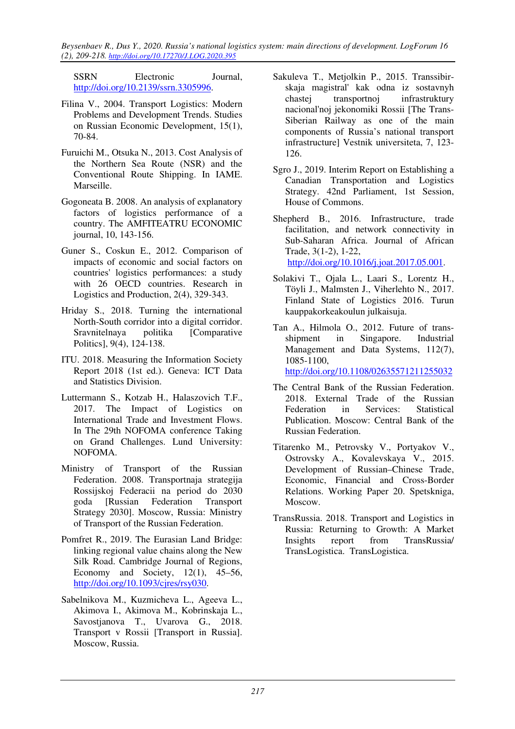*Beysenbaev R., Dus Y., 2020. Russia's national logistics system: main directions of development. LogForum 16 (2), 209-218. http://doi.org/10.17270/J.LOG.2020.395* 

SSRN Electronic Journal, http://doi.org/10.2139/ssrn.3305996.

- Filina V., 2004. Transport Logistics: Modern Problems and Development Trends. Studies on Russian Economic Development, 15(1), 70-84.
- Furuichi M., Otsuka N., 2013. Cost Analysis of the Northern Sea Route (NSR) and the Conventional Route Shipping. In IAME. Marseille.
- Gogoneata B. 2008. An analysis of explanatory factors of logistics performance of a country. The AMFITEATRU ECONOMIC journal, 10, 143-156.
- Guner S., Coskun E., 2012. Comparison of impacts of economic and social factors on countries' logistics performances: a study with 26 OECD countries. Research in Logistics and Production, 2(4), 329-343.
- Hriday S., 2018. Turning the international North-South corridor into a digital corridor. Sravnitelnaya politika [Comparative Politics], 9(4), 124-138.
- ITU. 2018. Measuring the Information Society Report 2018 (1st ed.). Geneva: ICT Data and Statistics Division.
- Luttermann S., Kotzab H., Halaszovich T.F., 2017. The Impact of Logistics on International Trade and Investment Flows. In The 29th NOFOMA conference Taking on Grand Challenges. Lund University: NOFOMA.
- Ministry of Transport of the Russian Federation. 2008. Transportnaja strategija Rossijskoj Federacii na period do 2030 goda [Russian Federation Transport Strategy 2030]. Moscow, Russia: Ministry of Transport of the Russian Federation.
- Pomfret R., 2019. The Eurasian Land Bridge: linking regional value chains along the New Silk Road. Cambridge Journal of Regions, Economy and Society,  $12(1)$ ,  $45-56$ , http://doi.org/10.1093/cjres/rsy030.
- Sabelnikova M., Kuzmicheva L., Ageeva L., Akimova I., Akimova M., Kobrinskaja L., Savostjanova T., Uvarova G., 2018. Transport v Rossii [Transport in Russia]. Moscow, Russia.
- Sakuleva T., Metjolkin P., 2015. Transsibirskaja magistral' kak odna iz sostavnyh chastej transportnoj infrastruktury nacional'noj jekonomiki Rossii [The Trans-Siberian Railway as one of the main components of Russia's national transport infrastructure] Vestnik universiteta, 7, 123- 126.
- Sgro J., 2019. Interim Report on Establishing a Canadian Transportation and Logistics Strategy. 42nd Parliament, 1st Session, House of Commons.

Shepherd B., 2016. Infrastructure, trade facilitation, and network connectivity in Sub-Saharan Africa. Journal of African Trade, 3(1-2), 1-22, http://doi.org/10.1016/j.joat.2017.05.001.

- Solakivi T., Ojala L., Laari S., Lorentz H., Töyli J., Malmsten J., Viherlehto N., 2017. Finland State of Logistics 2016. Turun kauppakorkeakoulun julkaisuja.
- Tan A., Hilmola O., 2012. Future of transshipment in Singapore. Industrial Management and Data Systems, 112(7), 1085-1100, http://doi.org/10.1108/02635571211255032

- The Central Bank of the Russian Federation. 2018. External Trade of the Russian Federation in Services: Statistical Publication. Moscow: Central Bank of the Russian Federation.
- Titarenko M., Petrovsky V., Portyakov V., Ostrovsky A., Kovalevskaya V., 2015. Development of Russian–Chinese Trade, Economic, Financial and Cross-Border Relations. Working Paper 20. Spetskniga, Moscow.
- TransRussia. 2018. Transport and Logistics in Russia: Returning to Growth: A Market Insights report from TransRussia/ TransLogistica. TransLogistica.